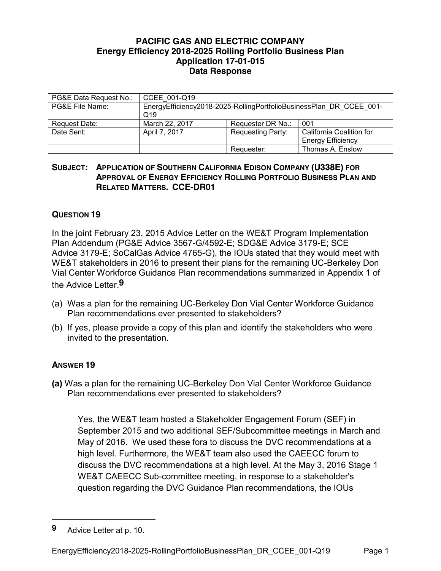## **PACIFIC GAS AND ELECTRIC COMPANY Energy Efficiency 2018-2025 Rolling Portfolio Business Plan Application 17-01-015 Data Response**

| PG&E Data Request No.: | CCEE 001-Q19                                                                           |                          |                                                      |
|------------------------|----------------------------------------------------------------------------------------|--------------------------|------------------------------------------------------|
| PG&E File Name:        | EnergyEfficiency2018-2025-RollingPortfolioBusinessPlan DR CCEE 001-<br>Q <sub>19</sub> |                          |                                                      |
| Request Date:          | March 22, 2017                                                                         | Requester DR No.:        | 001                                                  |
| Date Sent:             | April 7, 2017                                                                          | <b>Requesting Party:</b> | California Coalition for<br><b>Energy Efficiency</b> |
|                        |                                                                                        | Requester:               | Thomas A. Enslow                                     |

## **SUBJECT: APPLICATION OF SOUTHERN CALIFORNIA EDISON COMPANY (U338E) FOR APPROVAL OF ENERGY EFFICIENCY ROLLING PORTFOLIO BUSINESS PLAN AND RELATED MATTERS. CCE-DR01**

## **QUESTION 19**

In the joint February 23, 2015 Advice Letter on the WE&T Program Implementation Plan Addendum (PG&E Advice 3567-G/4592-E; SDG&E Advice 3179-E; SCE Advice 3179-E; SoCalGas Advice 4765-G), the IOUs stated that they would meet with WE&T stakeholders in 2016 to present their plans for the remaining UC-Berkeley Don Vial Center Workforce Guidance Plan recommendations summarized in Appendix 1 of the Advice Letter.**9**

- (a) Was a plan for the remaining UC-Berkeley Don Vial Center Workforce Guidance Plan recommendations ever presented to stakeholders?
- (b) If yes, please provide a copy of this plan and identify the stakeholders who were invited to the presentation.

## **ANSWER 19**

**(a)** Was a plan for the remaining UC-Berkeley Don Vial Center Workforce Guidance Plan recommendations ever presented to stakeholders?

Yes, the WE&T team hosted a Stakeholder Engagement Forum (SEF) in September 2015 and two additional SEF/Subcommittee meetings in March and May of 2016. We used these fora to discuss the DVC recommendations at a high level. Furthermore, the WE&T team also used the CAEECC forum to discuss the DVC recommendations at a high level. At the May 3, 2016 Stage 1 WE&T CAEECC Sub-committee meeting, in response to a stakeholder's question regarding the DVC Guidance Plan recommendations, the IOUs

 $\overline{a}$ 

**<sup>9</sup>** Advice Letter at p. 10.